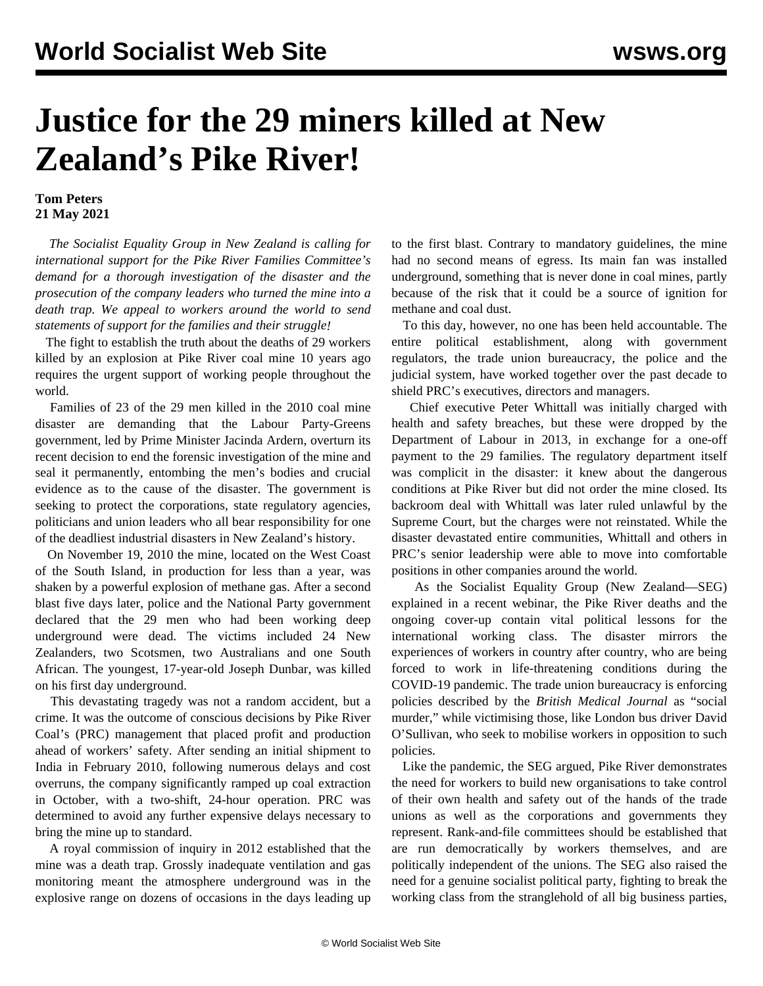## **Justice for the 29 miners killed at New Zealand's Pike River!**

## **Tom Peters 21 May 2021**

 *The Socialist Equality Group in New Zealand is calling for international support for the Pike River Families Committee's demand for a thorough investigation of the disaster and the prosecution of the company leaders who turned the mine into a death trap. We appeal to workers around the world to send statements of support for the families and their struggle!*

 The fight to establish the truth about the deaths of 29 workers killed by an explosion at Pike River coal mine 10 years ago requires the urgent support of working people throughout the world.

 Families of 23 of the 29 men killed in the 2010 coal mine disaster are demanding that the Labour Party-Greens government, led by Prime Minister Jacinda Ardern, overturn its recent decision to end the forensic investigation of the mine and seal it permanently, entombing the men's bodies and crucial evidence as to the cause of the disaster. The government is seeking to protect the corporations, state regulatory agencies, politicians and union leaders who all bear responsibility for one of the deadliest industrial disasters in New Zealand's history.

 On November 19, 2010 the mine, located on the West Coast of the South Island, in production for less than a year, was shaken by a powerful explosion of methane gas. After a second blast five days later, police and the National Party government declared that the 29 men who had been working deep underground were dead. The victims included 24 New Zealanders, two Scotsmen, two Australians and one South African. The youngest, 17-year-old Joseph Dunbar, was killed on his first day underground.

 This devastating tragedy was not a random accident, but a crime. It was the outcome of conscious decisions by Pike River Coal's (PRC) management that placed profit and production ahead of workers' safety. After sending an initial shipment to India in February 2010, following numerous delays and cost overruns, the company significantly ramped up coal extraction in October, with a two-shift, 24-hour operation. PRC was determined to avoid any further expensive delays necessary to bring the mine up to standard.

 A royal commission of inquiry in 2012 established that the mine was a death trap. Grossly inadequate ventilation and gas monitoring meant the atmosphere underground was in the explosive range on dozens of occasions in the days leading up to the first blast. Contrary to mandatory guidelines, the mine had no second means of egress. Its main fan was installed underground, something that is never done in coal mines, partly because of the risk that it could be a source of ignition for methane and coal dust.

 To this day, however, no one has been held accountable. The entire political establishment, along with government regulators, the trade union bureaucracy, the police and the judicial system, have worked together over the past decade to shield PRC's executives, directors and managers.

 Chief executive Peter Whittall was initially charged with health and safety breaches, but these were dropped by the Department of Labour in 2013, in exchange for a one-off payment to the 29 families. The regulatory department itself was complicit in the disaster: it knew about the dangerous conditions at Pike River but did not order the mine closed. Its backroom deal with Whittall was later ruled unlawful by the Supreme Court, but the charges were not reinstated. While the disaster devastated entire communities, Whittall and others in PRC's senior leadership were able to move into comfortable positions in other companies around the world.

 As the Socialist Equality Group (New Zealand—SEG) explained in a recent [webinar](/en/articles/2021/05/12/pike-m12.html), the Pike River deaths and the ongoing cover-up contain vital political lessons for the international working class. The disaster mirrors the experiences of workers in country after country, who are being forced to work in life-threatening conditions during the COVID-19 pandemic. The trade union bureaucracy is enforcing policies described by the *British Medical Journal* as "social murder," while victimising those, like London bus driver [David](/en/articles/2021/05/17/osul-m17.html) [O'Sullivan](/en/articles/2021/05/17/osul-m17.html), who seek to mobilise workers in opposition to such policies.

 Like the pandemic, the SEG argued, Pike River demonstrates the need for workers to build new organisations to take control of their own health and safety out of the hands of the trade unions as well as the corporations and governments they represent. Rank-and-file committees should be established that are run democratically by workers themselves, and are politically independent of the unions. The SEG also raised the need for a genuine socialist political party, fighting to break the working class from the stranglehold of all big business parties,